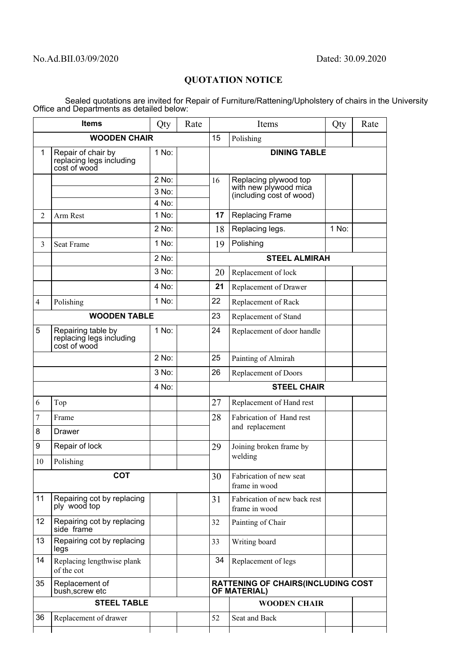## **QUOTATION NOTICE**

Sealed quotations are invited for Repair of Furniture/Rattening/Upholstery of chairs in the University Office and Departments as detailed below:

| <b>Items</b>            |                                                                | Qty            | Rate | Items                                                            |                                                                            | Qty   | Rate |  |
|-------------------------|----------------------------------------------------------------|----------------|------|------------------------------------------------------------------|----------------------------------------------------------------------------|-------|------|--|
| <b>WOODEN CHAIR</b>     |                                                                |                |      |                                                                  | Polishing                                                                  |       |      |  |
| $\mathbf{1}$            | Repair of chair by<br>replacing legs including<br>cost of wood | 1 No:          |      |                                                                  | <b>DINING TABLE</b>                                                        |       |      |  |
|                         |                                                                | 2 No:          |      | 16                                                               | Replacing plywood top<br>with new plywood mica<br>(including cost of wood) |       |      |  |
|                         |                                                                | 3 No:          |      |                                                                  |                                                                            |       |      |  |
| $\overline{2}$          | Arm Rest                                                       | 4 No:<br>1 No: |      | 17                                                               | Replacing Frame                                                            |       |      |  |
|                         |                                                                | 2 No:          |      | 18                                                               | Replacing legs.                                                            | 1 No: |      |  |
| 3                       | <b>Seat Frame</b>                                              | 1 No:          |      | 19                                                               | Polishing                                                                  |       |      |  |
|                         |                                                                |                |      |                                                                  |                                                                            |       |      |  |
|                         |                                                                | 2 No:<br>3 No: |      |                                                                  | <b>STEEL ALMIRAH</b>                                                       |       |      |  |
|                         |                                                                |                |      | 20                                                               | Replacement of lock                                                        |       |      |  |
|                         |                                                                | 4 No:          |      | 21                                                               | Replacement of Drawer                                                      |       |      |  |
| $\overline{\mathbf{4}}$ | Polishing                                                      | 1 No:          |      | 22                                                               | Replacement of Rack                                                        |       |      |  |
| <b>WOODEN TABLE</b>     |                                                                |                |      | 23                                                               | Replacement of Stand                                                       |       |      |  |
| 5                       | Repairing table by<br>replacing legs including<br>cost of wood | $1$ No:        |      | 24                                                               | Replacement of door handle                                                 |       |      |  |
|                         |                                                                | 2 No:          |      | 25                                                               | Painting of Almirah                                                        |       |      |  |
|                         |                                                                | 3 No:          |      | 26                                                               | Replacement of Doors                                                       |       |      |  |
| 4 No:                   |                                                                |                |      | <b>STEEL CHAIR</b>                                               |                                                                            |       |      |  |
| 6                       | Top                                                            |                |      | 27                                                               | Replacement of Hand rest                                                   |       |      |  |
| 7                       | Frame                                                          |                |      | 28                                                               | Fabrication of Hand rest<br>and replacement                                |       |      |  |
| 8                       | <b>Drawer</b>                                                  |                |      |                                                                  |                                                                            |       |      |  |
| 9                       | Repair of lock                                                 |                |      | 29                                                               | Joining broken frame by                                                    |       |      |  |
| 10                      | Polishing                                                      |                |      |                                                                  | welding                                                                    |       |      |  |
| <b>COT</b>              |                                                                |                |      | 30                                                               | Fabrication of new seat<br>frame in wood                                   |       |      |  |
| 11                      | Repairing cot by replacing<br>ply wood top                     |                |      | 31                                                               | Fabrication of new back rest<br>frame in wood                              |       |      |  |
| 12                      | Repairing cot by replacing<br>side frame                       |                |      | 32                                                               | Painting of Chair                                                          |       |      |  |
| 13                      | Repairing cot by replacing<br>legs                             |                |      | 33                                                               | Writing board                                                              |       |      |  |
| 14                      | Replacing lengthwise plank<br>of the cot                       |                |      | 34                                                               | Replacement of legs                                                        |       |      |  |
| 35                      | Replacement of<br>bush, screw etc                              |                |      | <b>RATTENING OF CHAIRS(INCLUDING COST</b><br><b>OF MATERIAL)</b> |                                                                            |       |      |  |
| <b>STEEL TABLE</b>      |                                                                |                |      |                                                                  | <b>WOODEN CHAIR</b>                                                        |       |      |  |
| 36                      | Replacement of drawer                                          |                |      | 52                                                               | Seat and Back                                                              |       |      |  |
|                         |                                                                |                |      |                                                                  |                                                                            |       |      |  |